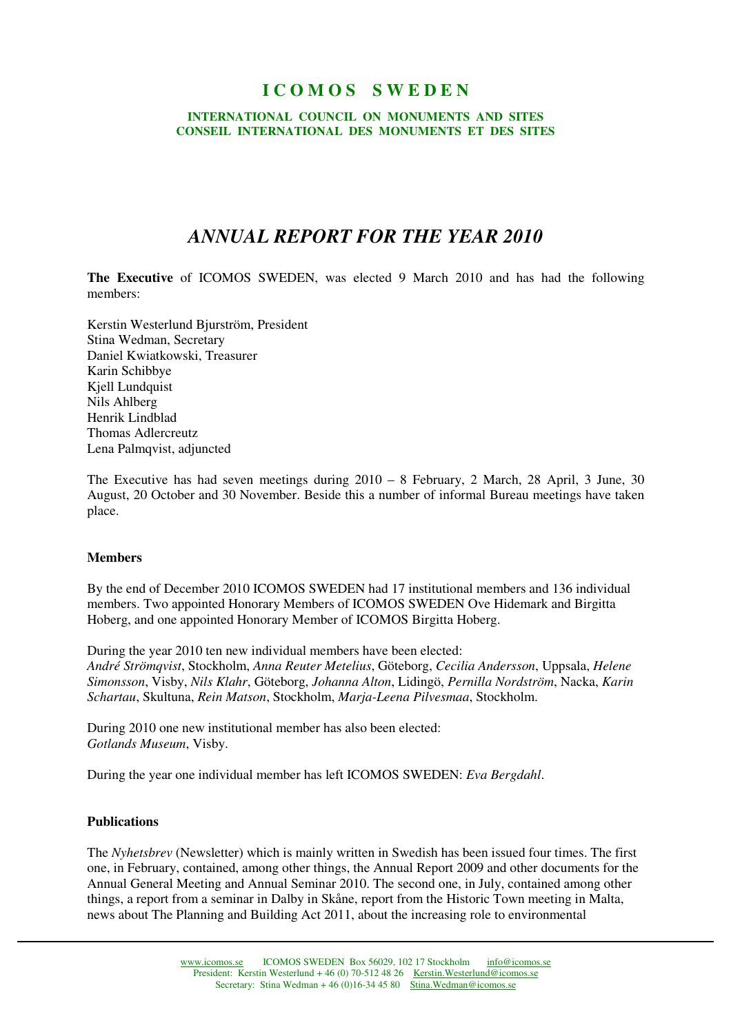# **I C O M O S S W E D E N**

### **INTERNATIONAL COUNCIL ON MONUMENTS AND SITES CONSEIL INTERNATIONAL DES MONUMENTS ET DES SITES**

# *ANNUAL REPORT FOR THE YEAR 2010*

**The Executive** of ICOMOS SWEDEN, was elected 9 March 2010 and has had the following members:

Kerstin Westerlund Bjurström, President Stina Wedman, Secretary Daniel Kwiatkowski, Treasurer Karin Schibbye Kjell Lundquist Nils Ahlberg Henrik Lindblad Thomas Adlercreutz Lena Palmqvist, adjuncted

The Executive has had seven meetings during 2010 – 8 February, 2 March, 28 April, 3 June, 30 August, 20 October and 30 November. Beside this a number of informal Bureau meetings have taken place.

# **Members**

By the end of December 2010 ICOMOS SWEDEN had 17 institutional members and 136 individual members. Two appointed Honorary Members of ICOMOS SWEDEN Ove Hidemark and Birgitta Hoberg, and one appointed Honorary Member of ICOMOS Birgitta Hoberg.

During the year 2010 ten new individual members have been elected: *André Strömqvist*, Stockholm, *Anna Reuter Metelius*, Göteborg, *Cecilia Andersson*, Uppsala, *Helene Simonsson*, Visby, *Nils Klahr*, Göteborg, *Johanna Alton*, Lidingö, *Pernilla Nordström*, Nacka, *Karin Schartau*, Skultuna, *Rein Matson*, Stockholm, *Marja-Leena Pilvesmaa*, Stockholm.

During 2010 one new institutional member has also been elected: *Gotlands Museum*, Visby.

During the year one individual member has left ICOMOS SWEDEN: *Eva Bergdahl*.

# **Publications**

The *Nyhetsbrev* (Newsletter) which is mainly written in Swedish has been issued four times. The first one, in February, contained, among other things, the Annual Report 2009 and other documents for the Annual General Meeting and Annual Seminar 2010. The second one, in July, contained among other things, a report from a seminar in Dalby in Skåne, report from the Historic Town meeting in Malta, news about The Planning and Building Act 2011, about the increasing role to environmental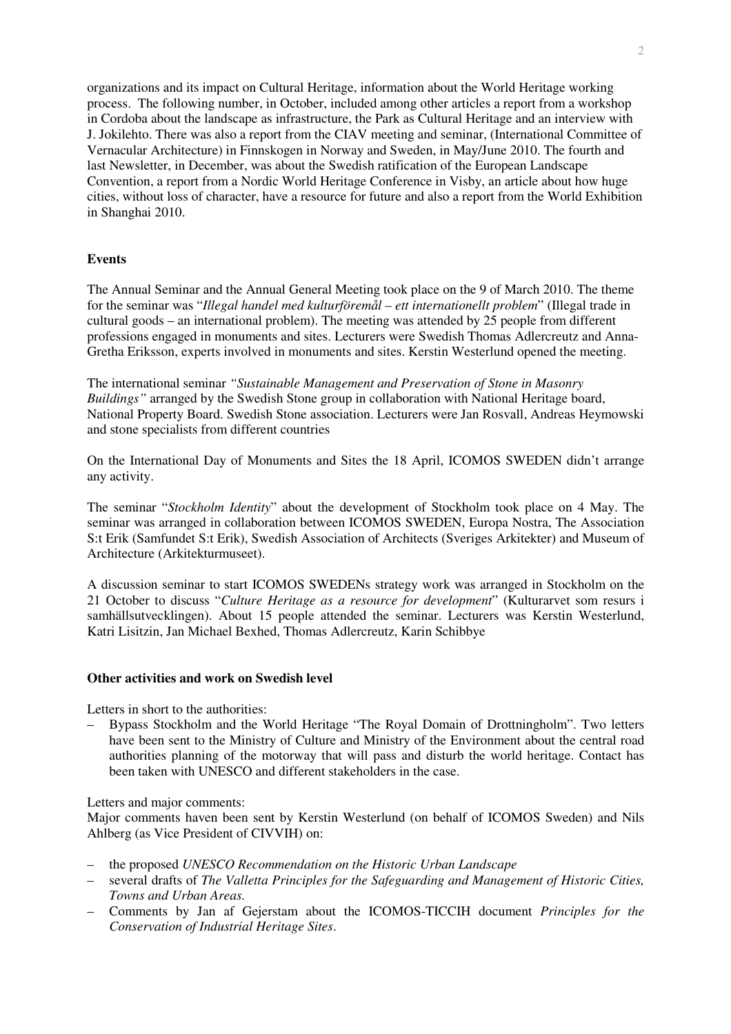organizations and its impact on Cultural Heritage, information about the World Heritage working process. The following number, in October, included among other articles a report from a workshop in Cordoba about the landscape as infrastructure, the Park as Cultural Heritage and an interview with J. Jokilehto. There was also a report from the CIAV meeting and seminar, (International Committee of Vernacular Architecture) in Finnskogen in Norway and Sweden, in May/June 2010. The fourth and last Newsletter, in December, was about the Swedish ratification of the European Landscape Convention, a report from a Nordic World Heritage Conference in Visby, an article about how huge cities, without loss of character, have a resource for future and also a report from the World Exhibition in Shanghai 2010.

# **Events**

The Annual Seminar and the Annual General Meeting took place on the 9 of March 2010. The theme for the seminar was "*Illegal handel med kulturföremål – ett internationellt problem*" (Illegal trade in cultural goods – an international problem). The meeting was attended by 25 people from different professions engaged in monuments and sites. Lecturers were Swedish Thomas Adlercreutz and Anna-Gretha Eriksson, experts involved in monuments and sites. Kerstin Westerlund opened the meeting.

The international seminar *"Sustainable Management and Preservation of Stone in Masonry Buildings"* arranged by the Swedish Stone group in collaboration with National Heritage board, National Property Board. Swedish Stone association. Lecturers were Jan Rosvall, Andreas Heymowski and stone specialists from different countries

On the International Day of Monuments and Sites the 18 April, ICOMOS SWEDEN didn't arrange any activity.

The seminar "*Stockholm Identity*" about the development of Stockholm took place on 4 May. The seminar was arranged in collaboration between ICOMOS SWEDEN, Europa Nostra, The Association S:t Erik (Samfundet S:t Erik), Swedish Association of Architects (Sveriges Arkitekter) and Museum of Architecture (Arkitekturmuseet).

A discussion seminar to start ICOMOS SWEDENs strategy work was arranged in Stockholm on the 21 October to discuss "*Culture Heritage as a resource for development*" (Kulturarvet som resurs i samhällsutvecklingen). About 15 people attended the seminar. Lecturers was Kerstin Westerlund, Katri Lisitzin, Jan Michael Bexhed, Thomas Adlercreutz, Karin Schibbye

# **Other activities and work on Swedish level**

Letters in short to the authorities:

– Bypass Stockholm and the World Heritage "The Royal Domain of Drottningholm". Two letters have been sent to the Ministry of Culture and Ministry of the Environment about the central road authorities planning of the motorway that will pass and disturb the world heritage. Contact has been taken with UNESCO and different stakeholders in the case.

### Letters and major comments:

Major comments haven been sent by Kerstin Westerlund (on behalf of ICOMOS Sweden) and Nils Ahlberg (as Vice President of CIVVIH) on:

- the proposed *UNESCO Recommendation on the Historic Urban Landscape*
- several drafts of *The Valletta Principles for the Safeguarding and Management of Historic Cities, Towns and Urban Areas.*
- Comments by Jan af Gejerstam about the ICOMOS-TICCIH document *Principles for the Conservation of Industrial Heritage Sites*.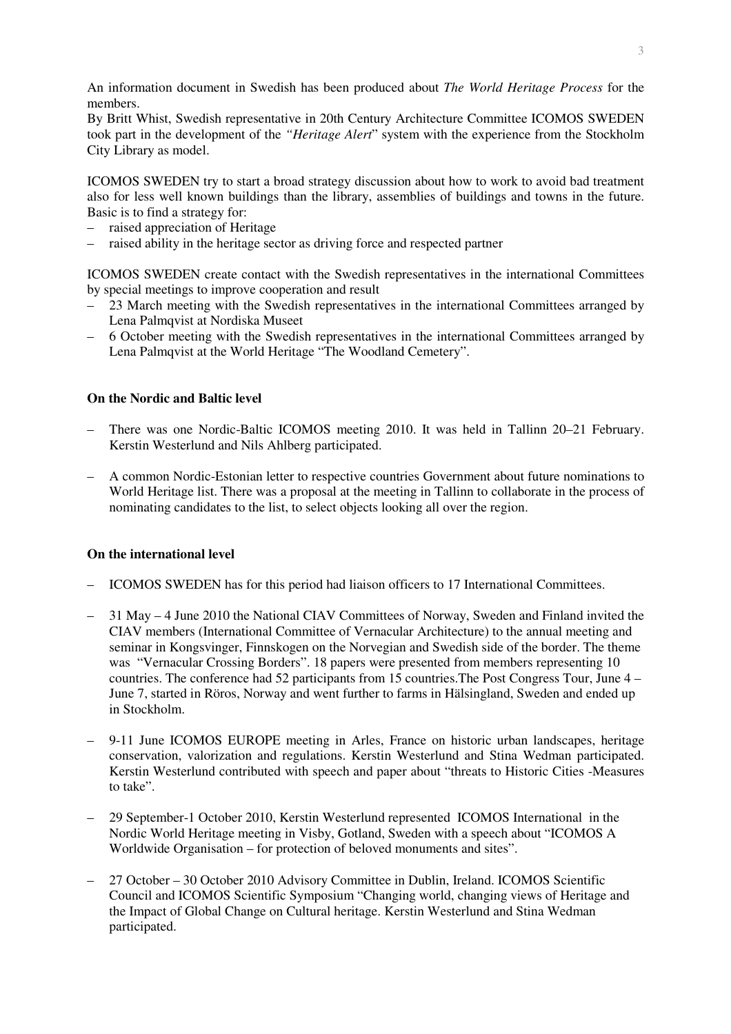An information document in Swedish has been produced about *The World Heritage Process* for the members.

By Britt Whist, Swedish representative in 20th Century Architecture Committee ICOMOS SWEDEN took part in the development of the *"Heritage Alert*" system with the experience from the Stockholm City Library as model.

ICOMOS SWEDEN try to start a broad strategy discussion about how to work to avoid bad treatment also for less well known buildings than the library, assemblies of buildings and towns in the future. Basic is to find a strategy for:

- raised appreciation of Heritage
- raised ability in the heritage sector as driving force and respected partner

ICOMOS SWEDEN create contact with the Swedish representatives in the international Committees by special meetings to improve cooperation and result

- 23 March meeting with the Swedish representatives in the international Committees arranged by Lena Palmqvist at Nordiska Museet
- 6 October meeting with the Swedish representatives in the international Committees arranged by Lena Palmqvist at the World Heritage "The Woodland Cemetery".

# **On the Nordic and Baltic level**

- There was one Nordic-Baltic ICOMOS meeting 2010. It was held in Tallinn 20–21 February. Kerstin Westerlund and Nils Ahlberg participated.
- A common Nordic-Estonian letter to respective countries Government about future nominations to World Heritage list. There was a proposal at the meeting in Tallinn to collaborate in the process of nominating candidates to the list, to select objects looking all over the region.

### **On the international level**

- ICOMOS SWEDEN has for this period had liaison officers to 17 International Committees.
- 31 May 4 June 2010 the National CIAV Committees of Norway, Sweden and Finland invited the CIAV members (International Committee of Vernacular Architecture) to the annual meeting and seminar in Kongsvinger, Finnskogen on the Norvegian and Swedish side of the border. The theme was "Vernacular Crossing Borders". 18 papers were presented from members representing 10 countries. The conference had 52 participants from 15 countries.The Post Congress Tour, June 4 – June 7, started in Röros, Norway and went further to farms in Hälsingland, Sweden and ended up in Stockholm.
- 9-11 June ICOMOS EUROPE meeting in Arles, France on historic urban landscapes, heritage conservation, valorization and regulations. Kerstin Westerlund and Stina Wedman participated. Kerstin Westerlund contributed with speech and paper about "threats to Historic Cities -Measures to take".
- 29 September-1 October 2010, Kerstin Westerlund represented ICOMOS International in the Nordic World Heritage meeting in Visby, Gotland, Sweden with a speech about "ICOMOS A Worldwide Organisation – for protection of beloved monuments and sites".
- 27 October 30 October 2010 Advisory Committee in Dublin, Ireland. ICOMOS Scientific Council and ICOMOS Scientific Symposium "Changing world, changing views of Heritage and the Impact of Global Change on Cultural heritage. Kerstin Westerlund and Stina Wedman participated.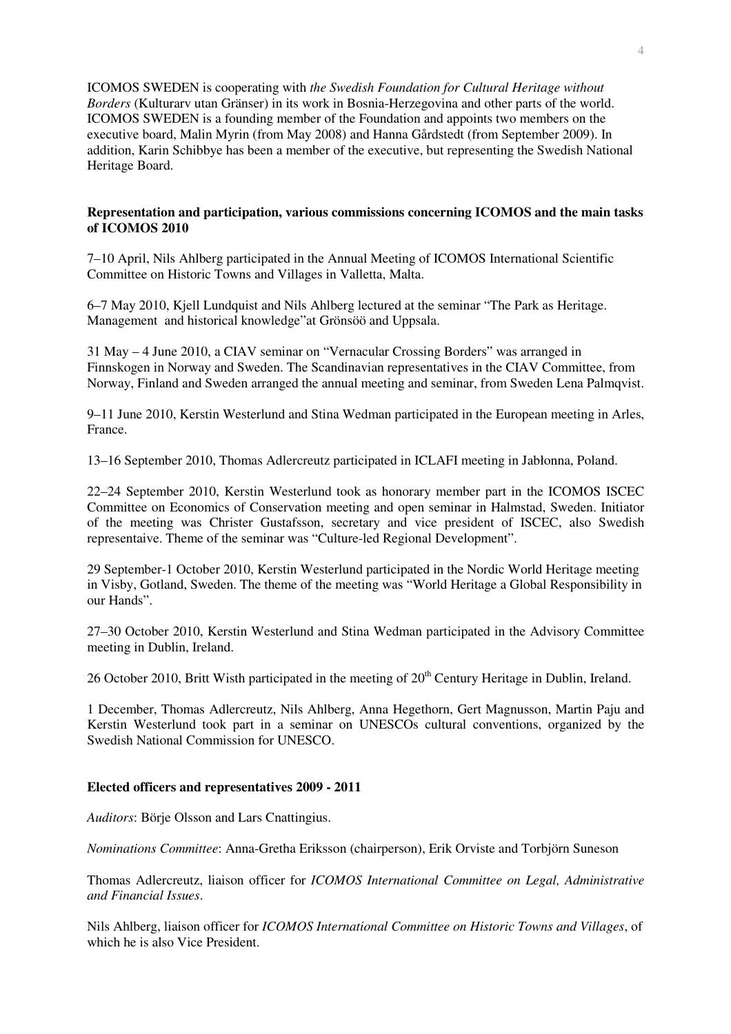ICOMOS SWEDEN is cooperating with *the Swedish Foundation for Cultural Heritage without Borders* (Kulturarv utan Gränser) in its work in Bosnia-Herzegovina and other parts of the world. ICOMOS SWEDEN is a founding member of the Foundation and appoints two members on the executive board, Malin Myrin (from May 2008) and Hanna Gårdstedt (from September 2009). In addition, Karin Schibbye has been a member of the executive, but representing the Swedish National Heritage Board.

## **Representation and participation, various commissions concerning ICOMOS and the main tasks of ICOMOS 2010**

7–10 April, Nils Ahlberg participated in the Annual Meeting of ICOMOS International Scientific Committee on Historic Towns and Villages in Valletta, Malta.

6–7 May 2010, Kjell Lundquist and Nils Ahlberg lectured at the seminar "The Park as Heritage. Management and historical knowledge"at Grönsöö and Uppsala.

31 May – 4 June 2010, a CIAV seminar on "Vernacular Crossing Borders" was arranged in Finnskogen in Norway and Sweden. The Scandinavian representatives in the CIAV Committee, from Norway, Finland and Sweden arranged the annual meeting and seminar, from Sweden Lena Palmqvist.

9–11 June 2010, Kerstin Westerlund and Stina Wedman participated in the European meeting in Arles, France.

13–16 September 2010, Thomas Adlercreutz participated in ICLAFI meeting in Jabłonna, Poland.

22–24 September 2010, Kerstin Westerlund took as honorary member part in the ICOMOS ISCEC Committee on Economics of Conservation meeting and open seminar in Halmstad, Sweden. Initiator of the meeting was Christer Gustafsson, secretary and vice president of ISCEC, also Swedish representaive. Theme of the seminar was "Culture-led Regional Development".

29 September-1 October 2010, Kerstin Westerlund participated in the Nordic World Heritage meeting in Visby, Gotland, Sweden. The theme of the meeting was "World Heritage a Global Responsibility in our Hands".

27–30 October 2010, Kerstin Westerlund and Stina Wedman participated in the Advisory Committee meeting in Dublin, Ireland.

26 October 2010, Britt Wisth participated in the meeting of  $20<sup>th</sup>$  Century Heritage in Dublin, Ireland.

1 December, Thomas Adlercreutz, Nils Ahlberg, Anna Hegethorn, Gert Magnusson, Martin Paju and Kerstin Westerlund took part in a seminar on UNESCOs cultural conventions, organized by the Swedish National Commission for UNESCO.

# **Elected officers and representatives 2009 - 2011**

*Auditors*: Börje Olsson and Lars Cnattingius.

*Nominations Committee*: Anna-Gretha Eriksson (chairperson), Erik Orviste and Torbjörn Suneson

Thomas Adlercreutz, liaison officer for *ICOMOS International Committee on Legal, Administrative and Financial Issues*.

Nils Ahlberg, liaison officer for *ICOMOS International Committee on Historic Towns and Villages*, of which he is also Vice President.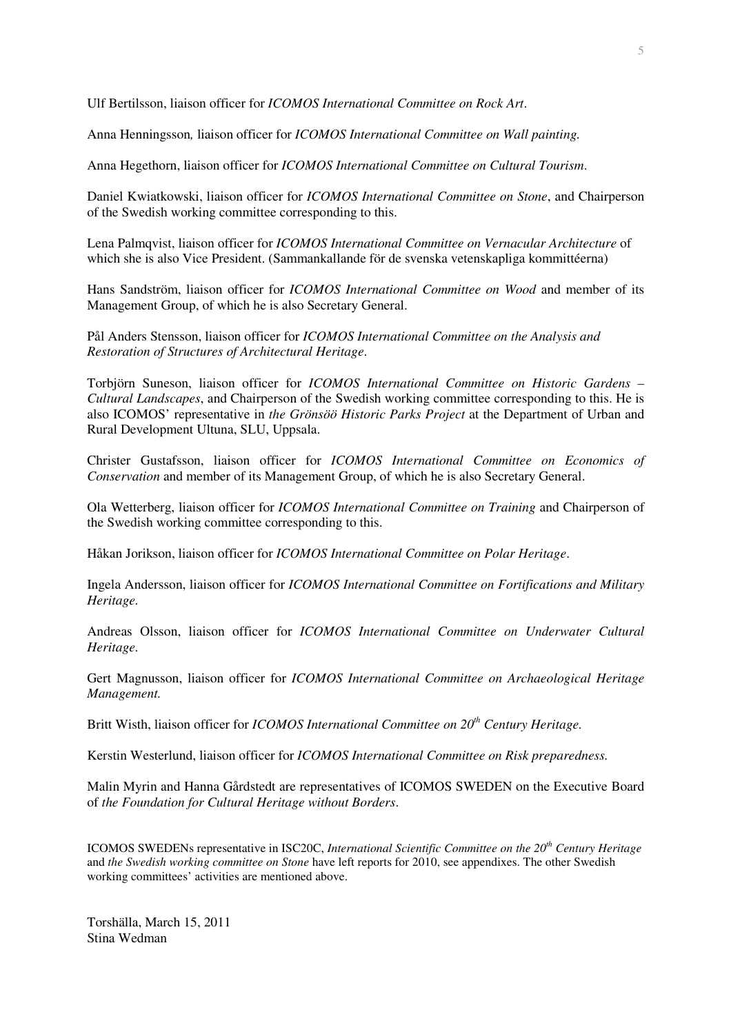Ulf Bertilsson, liaison officer for *ICOMOS International Committee on Rock Art*.

Anna Henningsson*,* liaison officer for *ICOMOS International Committee on Wall painting.* 

Anna Hegethorn, liaison officer for *ICOMOS International Committee on Cultural Tourism*.

Daniel Kwiatkowski, liaison officer for *ICOMOS International Committee on Stone*, and Chairperson of the Swedish working committee corresponding to this.

Lena Palmqvist, liaison officer for *ICOMOS International Committee on Vernacular Architecture* of which she is also Vice President. (Sammankallande för de svenska vetenskapliga kommittéerna)

Hans Sandström, liaison officer for *ICOMOS International Committee on Wood* and member of its Management Group, of which he is also Secretary General.

Pål Anders Stensson, liaison officer for *ICOMOS International Committee on the Analysis and Restoration of Structures of Architectural Heritage*.

Torbjörn Suneson, liaison officer for *ICOMOS International Committee on Historic Gardens – Cultural Landscapes*, and Chairperson of the Swedish working committee corresponding to this. He is also ICOMOS' representative in *the Grönsöö Historic Parks Project* at the Department of Urban and Rural Development Ultuna, SLU, Uppsala.

Christer Gustafsson, liaison officer for *ICOMOS International Committee on Economics of Conservation* and member of its Management Group, of which he is also Secretary General.

Ola Wetterberg, liaison officer for *ICOMOS International Committee on Training* and Chairperson of the Swedish working committee corresponding to this.

Håkan Jorikson, liaison officer for *ICOMOS International Committee on Polar Heritage*.

Ingela Andersson, liaison officer for *ICOMOS International Committee on Fortifications and Military Heritage.* 

Andreas Olsson, liaison officer for *ICOMOS International Committee on Underwater Cultural Heritage.* 

Gert Magnusson, liaison officer for *ICOMOS International Committee on Archaeological Heritage Management.* 

Britt Wisth, liaison officer for *ICOMOS International Committee on 20th Century Heritage.*

Kerstin Westerlund, liaison officer for *ICOMOS International Committee on Risk preparedness.*

Malin Myrin and Hanna Gårdstedt are representatives of ICOMOS SWEDEN on the Executive Board of *the Foundation for Cultural Heritage without Borders*.

ICOMOS SWEDENs representative in ISC20C, *International Scientific Committee on the 20th Century Heritage* and *the Swedish working committee on Stone* have left reports for 2010, see appendixes. The other Swedish working committees' activities are mentioned above.

Torshälla, March 15, 2011 Stina Wedman